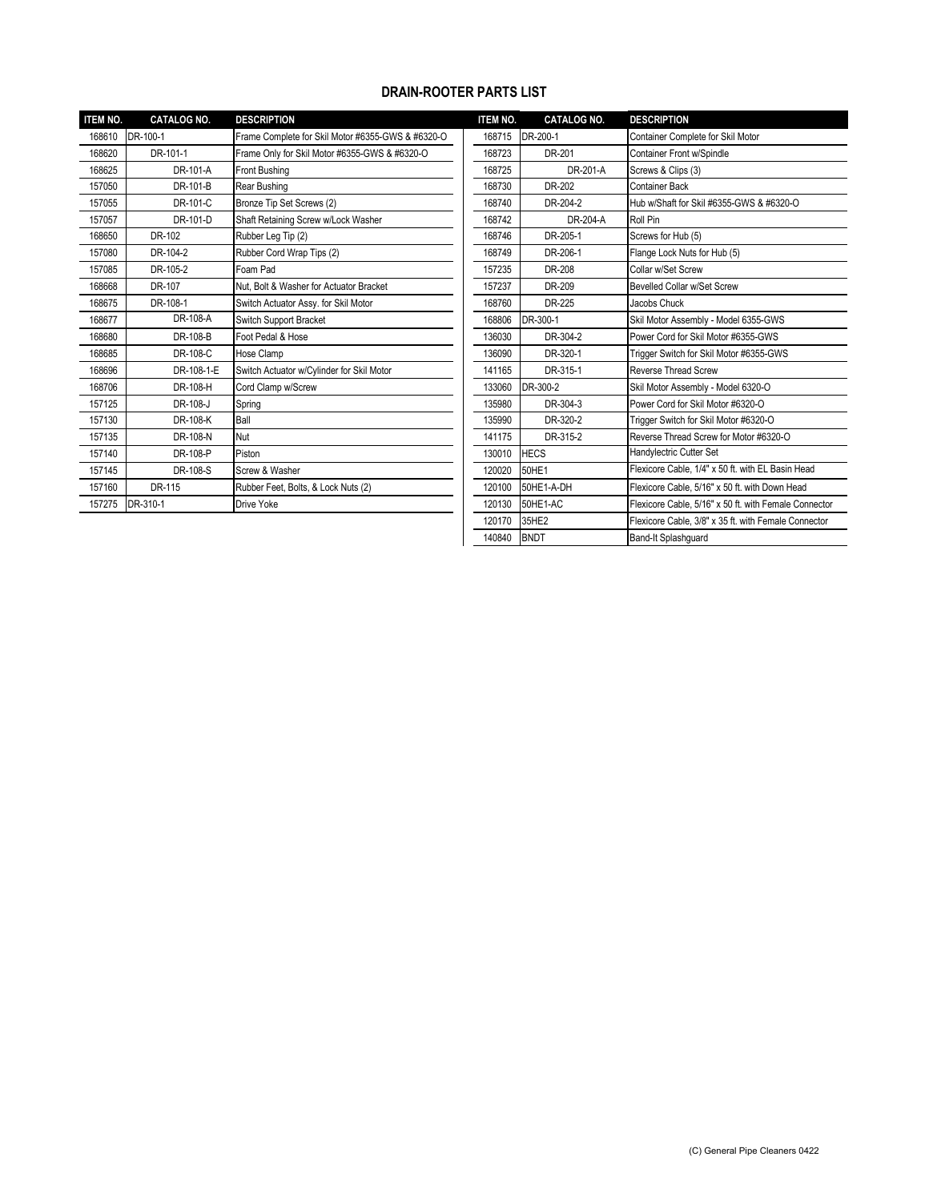## **DRAIN-ROOTER PARTS LIST**

| <b>ITEM NO.</b> | <b>CATALOG NO.</b> | <b>DESCRIPTION</b>                                | <b>ITEM NO.</b> | <b>CATALOG NO.</b> | <b>DESCRIPTION</b>                                    |
|-----------------|--------------------|---------------------------------------------------|-----------------|--------------------|-------------------------------------------------------|
| 168610          | DR-100-1           | Frame Complete for Skil Motor #6355-GWS & #6320-O | 168715          | DR-200-1           | Container Complete for Skil Motor                     |
| 168620          | DR-101-1           | Frame Only for Skil Motor #6355-GWS & #6320-O     | 168723          | DR-201             | Container Front w/Spindle                             |
| 168625          | DR-101-A           | Front Bushing                                     | 168725          | DR-201-A           | Screws & Clips (3)                                    |
| 157050          | DR-101-B           | Rear Bushing                                      | 168730          | DR-202             | <b>Container Back</b>                                 |
| 157055          | DR-101-C           | Bronze Tip Set Screws (2)                         | 168740          | DR-204-2           | Hub w/Shaft for Skil #6355-GWS & #6320-O              |
| 157057          | DR-101-D           | Shaft Retaining Screw w/Lock Washer               | 168742          | DR-204-A           | Roll Pin                                              |
| 168650          | DR-102             | Rubber Leg Tip (2)                                | 168746          | DR-205-1           | Screws for Hub (5)                                    |
| 157080          | DR-104-2           | Rubber Cord Wrap Tips (2)                         | 168749          | DR-206-1           | Flange Lock Nuts for Hub (5)                          |
| 157085          | DR-105-2           | Foam Pad                                          | 157235          | DR-208             | Collar w/Set Screw                                    |
| 168668          | DR-107             | Nut. Bolt & Washer for Actuator Bracket           | 157237          | DR-209             | Bevelled Collar w/Set Screw                           |
| 168675          | DR-108-1           | Switch Actuator Assy. for Skil Motor              | 168760          | DR-225             | Jacobs Chuck                                          |
| 168677          | DR-108-A           | Switch Support Bracket                            | 168806          | DR-300-1           | Skil Motor Assembly - Model 6355-GWS                  |
| 168680          | DR-108-B           | Foot Pedal & Hose                                 | 136030          | DR-304-2           | Power Cord for Skil Motor #6355-GWS                   |
| 168685          | DR-108-C           | Hose Clamp                                        | 136090          | DR-320-1           | Trigger Switch for Skil Motor #6355-GWS               |
| 168696          | DR-108-1-E         | Switch Actuator w/Cylinder for Skil Motor         | 141165          | DR-315-1           | <b>Reverse Thread Screw</b>                           |
| 168706          | DR-108-H           | Cord Clamp w/Screw                                | 133060          | DR-300-2           | Skil Motor Assembly - Model 6320-O                    |
| 157125          | DR-108-J           | Spring                                            | 135980          | DR-304-3           | Power Cord for Skil Motor #6320-O                     |
| 157130          | DR-108-K           | Ball                                              | 135990          | DR-320-2           | Trigger Switch for Skil Motor #6320-O                 |
| 157135          | DR-108-N           | Nut                                               | 141175          | DR-315-2           | Reverse Thread Screw for Motor #6320-O                |
| 157140          | DR-108-P           | Piston                                            | 130010          | <b>HECS</b>        | Handylectric Cutter Set                               |
| 157145          | DR-108-S           | Screw & Washer                                    | 120020          | 50HE1              | Flexicore Cable, 1/4" x 50 ft. with EL Basin Head     |
| 157160          | DR-115             | Rubber Feet, Bolts, & Lock Nuts (2)               | 120100          | 50HE1-A-DH         | Flexicore Cable, 5/16" x 50 ft. with Down Head        |
| 157275          | DR-310-1           | Drive Yoke                                        | 120130          | 50HE1-AC           | Flexicore Cable, 5/16" x 50 ft. with Female Connector |
|                 |                    |                                                   |                 |                    |                                                       |

| <b>ITEM NO.</b> | <b>CATALOG NO.</b> | <b>DESCRIPTION</b>                                    |
|-----------------|--------------------|-------------------------------------------------------|
| 168715          | DR-200-1           | Container Complete for Skil Motor                     |
| 168723          | DR-201             | Container Front w/Spindle                             |
| 168725          | DR-201-A           | Screws & Clips (3)                                    |
| 168730          | DR-202             | <b>Container Back</b>                                 |
| 168740          | DR-204-2           | Hub w/Shaft for Skil #6355-GWS & #6320-O              |
| 168742          | DR-204-A           | Roll Pin                                              |
| 168746          | DR-205-1           | Screws for Hub (5)                                    |
| 168749          | DR-206-1           | Flange Lock Nuts for Hub (5)                          |
| 157235          | DR-208             | Collar w/Set Screw                                    |
| 157237          | DR-209             | <b>Bevelled Collar w/Set Screw</b>                    |
| 168760          | DR-225             | Jacobs Chuck                                          |
| 168806          | DR-300-1           | Skil Motor Assembly - Model 6355-GWS                  |
| 136030          | DR-304-2           | Power Cord for Skil Motor #6355-GWS                   |
| 136090          | DR-320-1           | Trigger Switch for Skil Motor #6355-GWS               |
| 141165          | DR-315-1           | <b>Reverse Thread Screw</b>                           |
| 133060          | DR-300-2           | Skil Motor Assembly - Model 6320-O                    |
| 135980          | DR-304-3           | Power Cord for Skil Motor #6320-O                     |
| 135990          | DR-320-2           | Trigger Switch for Skil Motor #6320-O                 |
| 141175          | DR-315-2           | Reverse Thread Screw for Motor #6320-O                |
| 130010          | <b>HECS</b>        | Handylectric Cutter Set                               |
| 120020          | 50HE1              | Flexicore Cable, 1/4" x 50 ft. with EL Basin Head     |
| 120100          | 50HE1-A-DH         | Flexicore Cable, 5/16" x 50 ft. with Down Head        |
| 120130          | 50HE1-AC           | Flexicore Cable, 5/16" x 50 ft. with Female Connector |
| 120170          | 35HE2              | Flexicore Cable, 3/8" x 35 ft. with Female Connector  |
| 140840          | <b>BNDT</b>        | Band-It Splashguard                                   |